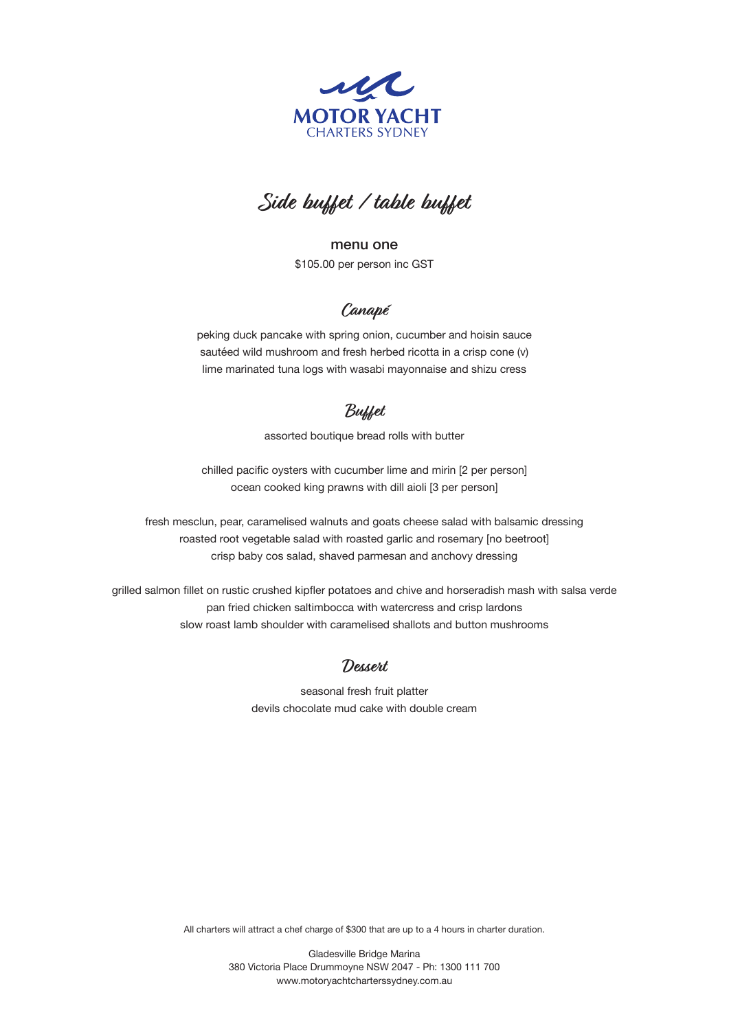



menu one \$105.00 per person inc GST

# **Canapé**

peking duck pancake with spring onion, cucumber and hoisin sauce sautéed wild mushroom and fresh herbed ricotta in a crisp cone (v) lime marinated tuna logs with wasabi mayonnaise and shizu cress

## **Buffet**

assorted boutique bread rolls with butter

chilled pacific oysters with cucumber lime and mirin [2 per person] ocean cooked king prawns with dill aioli [3 per person]

fresh mesclun, pear, caramelised walnuts and goats cheese salad with balsamic dressing roasted root vegetable salad with roasted garlic and rosemary [no beetroot] crisp baby cos salad, shaved parmesan and anchovy dressing

grilled salmon fillet on rustic crushed kipfler potatoes and chive and horseradish mash with salsa verde pan fried chicken saltimbocca with watercress and crisp lardons slow roast lamb shoulder with caramelised shallots and button mushrooms

#### **Dessert**

seasonal fresh fruit platter devils chocolate mud cake with double cream

All charters will attract a chef charge of \$300 that are up to a 4 hours in charter duration.

Gladesville Bridge Marina 380 Victoria Place Drummoyne NSW 2047 - Ph: 1300 111 700 www.motoryachtcharterssydney.com.au